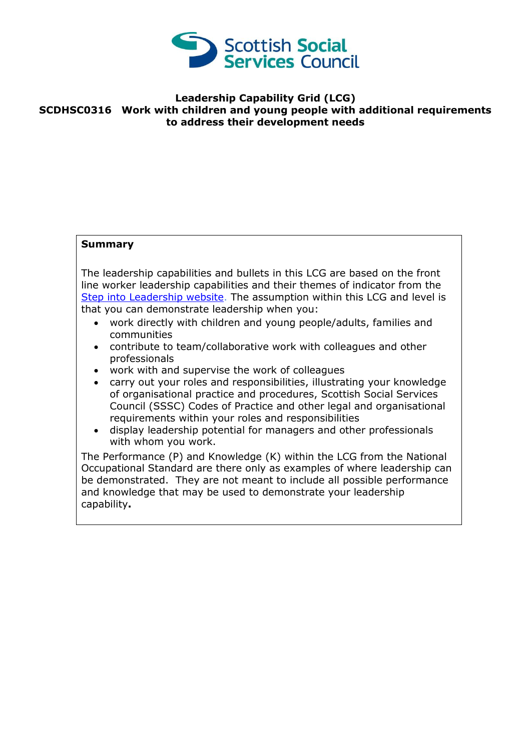

## **Leadership Capability Grid (LCG) SCDHSC0316 Work with children and young people with additional requirements to address their development needs**

## **Summary**

The leadership capabilities and bullets in this LCG are based on the front line worker leadership capabilities and their themes of indicator from the [Step into Leadership website.](http://www.stepintoleadership.info/) The assumption within this LCG and level is that you can demonstrate leadership when you:

- work directly with children and young people/adults, families and communities
- contribute to team/collaborative work with colleagues and other professionals
- work with and supervise the work of colleagues
- carry out your roles and responsibilities, illustrating your knowledge of organisational practice and procedures, Scottish Social Services Council (SSSC) Codes of Practice and other legal and organisational requirements within your roles and responsibilities
- display leadership potential for managers and other professionals with whom you work.

The Performance (P) and Knowledge (K) within the LCG from the National Occupational Standard are there only as examples of where leadership can be demonstrated. They are not meant to include all possible performance and knowledge that may be used to demonstrate your leadership capability**.**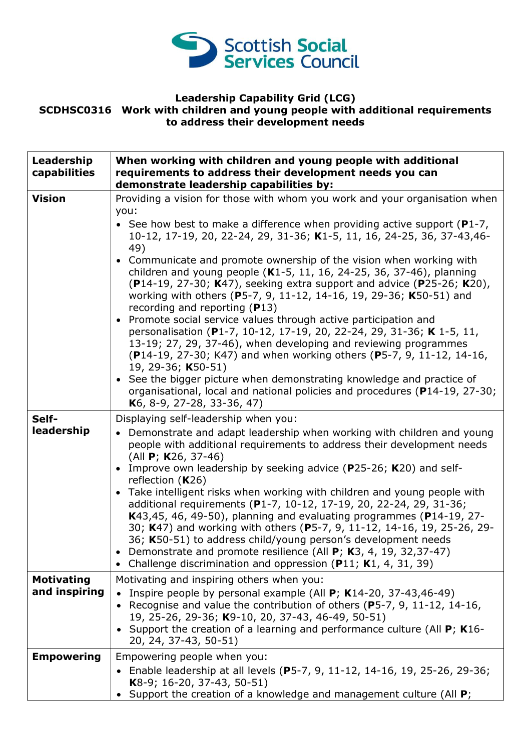

## **Leadership Capability Grid (LCG) SCDHSC0316 Work with children and young people with additional requirements to address their development needs**

| Leadership<br>capabilities         | When working with children and young people with additional<br>requirements to address their development needs you can<br>demonstrate leadership capabilities by:                                                                                                                                                                                                                                                                                                                                                                                                                                                                                                                                                                                                                                                                                                                                                                                                                                                                                                                        |
|------------------------------------|------------------------------------------------------------------------------------------------------------------------------------------------------------------------------------------------------------------------------------------------------------------------------------------------------------------------------------------------------------------------------------------------------------------------------------------------------------------------------------------------------------------------------------------------------------------------------------------------------------------------------------------------------------------------------------------------------------------------------------------------------------------------------------------------------------------------------------------------------------------------------------------------------------------------------------------------------------------------------------------------------------------------------------------------------------------------------------------|
| <b>Vision</b>                      | Providing a vision for those with whom you work and your organisation when<br>you:<br>• See how best to make a difference when providing active support ( $P1-7$ ,<br>10-12, 17-19, 20, 22-24, 29, 31-36; K1-5, 11, 16, 24-25, 36, 37-43, 46-<br>49)<br>• Communicate and promote ownership of the vision when working with<br>children and young people (K1-5, 11, 16, 24-25, 36, 37-46), planning<br>(P14-19, 27-30; K47), seeking extra support and advice (P25-26; K20),<br>working with others (P5-7, 9, 11-12, 14-16, 19, 29-36; K50-51) and<br>recording and reporting $(P13)$<br>• Promote social service values through active participation and<br>personalisation (P1-7, 10-12, 17-19, 20, 22-24, 29, 31-36; K 1-5, 11,<br>13-19; 27, 29, 37-46), when developing and reviewing programmes<br>(P14-19, 27-30; K47) and when working others (P5-7, 9, 11-12, 14-16,<br>19, 29-36; K50-51)<br>• See the bigger picture when demonstrating knowledge and practice of<br>organisational, local and national policies and procedures (P14-19, 27-30;<br>K6, 8-9, 27-28, 33-36, 47) |
| Self-<br>leadership                | Displaying self-leadership when you:<br>• Demonstrate and adapt leadership when working with children and young<br>people with additional requirements to address their development needs<br>(All <b>P</b> ; <b>K</b> 26, 37-46)<br>Improve own leadership by seeking advice (P25-26; K20) and self-<br>$\bullet$<br>reflection $(K26)$<br>• Take intelligent risks when working with children and young people with<br>additional requirements (P1-7, 10-12, 17-19, 20, 22-24, 29, 31-36;<br>K43,45, 46, 49-50), planning and evaluating programmes (P14-19, 27-<br>30; K47) and working with others (P5-7, 9, 11-12, 14-16, 19, 25-26, 29-<br>36; K50-51) to address child/young person's development needs<br>Demonstrate and promote resilience (All P; K3, 4, 19, 32,37-47)<br>• Challenge discrimination and oppression ( $P11$ ; K1, 4, 31, 39)                                                                                                                                                                                                                                   |
| <b>Motivating</b><br>and inspiring | Motivating and inspiring others when you:<br>Inspire people by personal example (All $P$ ; K14-20, 37-43,46-49)<br>$\bullet$<br>Recognise and value the contribution of others (P5-7, 9, 11-12, 14-16,<br>$\bullet$<br>19, 25-26, 29-36; K9-10, 20, 37-43, 46-49, 50-51)<br>• Support the creation of a learning and performance culture (All $P$ ; K16-<br>20, 24, 37-43, 50-51)                                                                                                                                                                                                                                                                                                                                                                                                                                                                                                                                                                                                                                                                                                        |
| <b>Empowering</b>                  | Empowering people when you:<br>• Enable leadership at all levels (P5-7, 9, 11-12, 14-16, 19, 25-26, 29-36;<br>K8-9; 16-20, 37-43, 50-51)<br>Support the creation of a knowledge and management culture (All P;                                                                                                                                                                                                                                                                                                                                                                                                                                                                                                                                                                                                                                                                                                                                                                                                                                                                           |